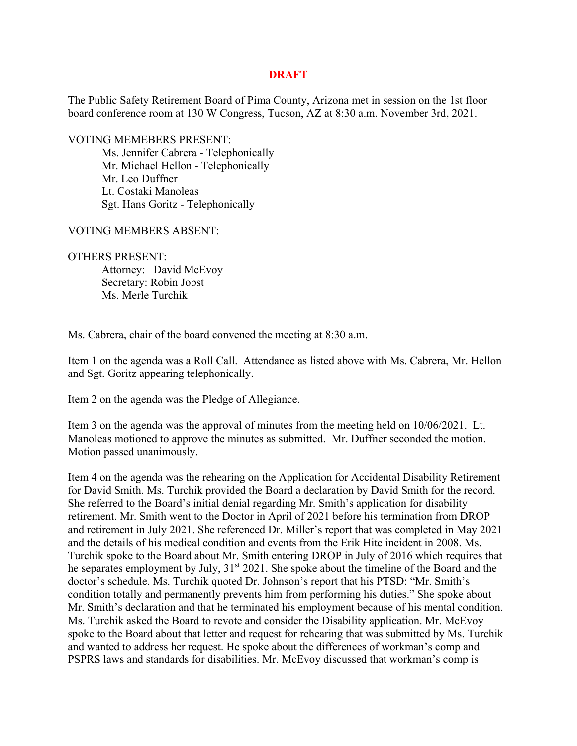## **DRAFT**

The Public Safety Retirement Board of Pima County, Arizona met in session on the 1st floor board conference room at 130 W Congress, Tucson, AZ at 8:30 a.m. November 3rd, 2021.

VOTING MEMEBERS PRESENT:

 Ms. Jennifer Cabrera - Telephonically Mr. Michael Hellon - Telephonically Mr. Leo Duffner Lt. Costaki Manoleas Sgt. Hans Goritz - Telephonically

VOTING MEMBERS ABSENT:

## OTHERS PRESENT:

 Attorney: David McEvoy Secretary: Robin Jobst Ms. Merle Turchik

Ms. Cabrera, chair of the board convened the meeting at 8:30 a.m.

Item 1 on the agenda was a Roll Call. Attendance as listed above with Ms. Cabrera, Mr. Hellon and Sgt. Goritz appearing telephonically.

Item 2 on the agenda was the Pledge of Allegiance.

Item 3 on the agenda was the approval of minutes from the meeting held on 10/06/2021. Lt. Manoleas motioned to approve the minutes as submitted. Mr. Duffner seconded the motion. Motion passed unanimously.

Item 4 on the agenda was the rehearing on the Application for Accidental Disability Retirement for David Smith. Ms. Turchik provided the Board a declaration by David Smith for the record. She referred to the Board's initial denial regarding Mr. Smith's application for disability retirement. Mr. Smith went to the Doctor in April of 2021 before his termination from DROP and retirement in July 2021. She referenced Dr. Miller's report that was completed in May 2021 and the details of his medical condition and events from the Erik Hite incident in 2008. Ms. Turchik spoke to the Board about Mr. Smith entering DROP in July of 2016 which requires that he separates employment by July,  $31<sup>st</sup> 2021$ . She spoke about the timeline of the Board and the doctor's schedule. Ms. Turchik quoted Dr. Johnson's report that his PTSD: "Mr. Smith's condition totally and permanently prevents him from performing his duties." She spoke about Mr. Smith's declaration and that he terminated his employment because of his mental condition. Ms. Turchik asked the Board to revote and consider the Disability application. Mr. McEvoy spoke to the Board about that letter and request for rehearing that was submitted by Ms. Turchik and wanted to address her request. He spoke about the differences of workman's comp and PSPRS laws and standards for disabilities. Mr. McEvoy discussed that workman's comp is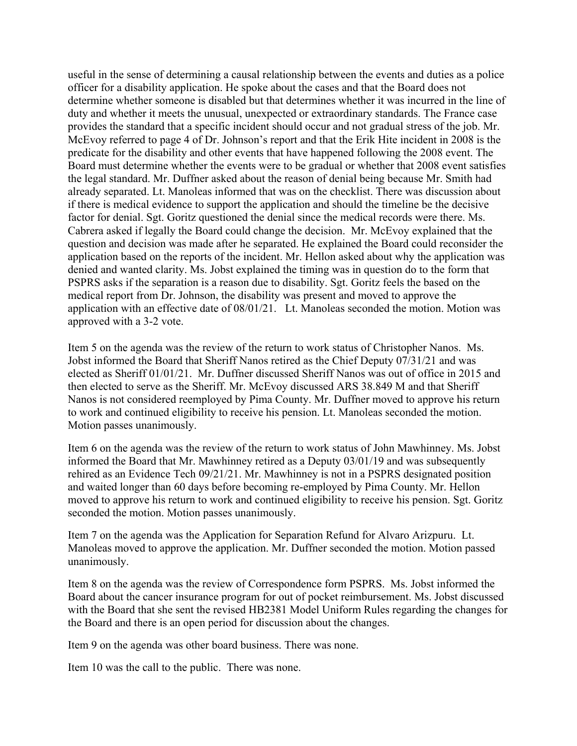useful in the sense of determining a causal relationship between the events and duties as a police officer for a disability application. He spoke about the cases and that the Board does not determine whether someone is disabled but that determines whether it was incurred in the line of duty and whether it meets the unusual, unexpected or extraordinary standards. The France case provides the standard that a specific incident should occur and not gradual stress of the job. Mr. McEvoy referred to page 4 of Dr. Johnson's report and that the Erik Hite incident in 2008 is the predicate for the disability and other events that have happened following the 2008 event. The Board must determine whether the events were to be gradual or whether that 2008 event satisfies the legal standard. Mr. Duffner asked about the reason of denial being because Mr. Smith had already separated. Lt. Manoleas informed that was on the checklist. There was discussion about if there is medical evidence to support the application and should the timeline be the decisive factor for denial. Sgt. Goritz questioned the denial since the medical records were there. Ms. Cabrera asked if legally the Board could change the decision. Mr. McEvoy explained that the question and decision was made after he separated. He explained the Board could reconsider the application based on the reports of the incident. Mr. Hellon asked about why the application was denied and wanted clarity. Ms. Jobst explained the timing was in question do to the form that PSPRS asks if the separation is a reason due to disability. Sgt. Goritz feels the based on the medical report from Dr. Johnson, the disability was present and moved to approve the application with an effective date of 08/01/21. Lt. Manoleas seconded the motion. Motion was approved with a 3-2 vote.

Item 5 on the agenda was the review of the return to work status of Christopher Nanos. Ms. Jobst informed the Board that Sheriff Nanos retired as the Chief Deputy 07/31/21 and was elected as Sheriff 01/01/21. Mr. Duffner discussed Sheriff Nanos was out of office in 2015 and then elected to serve as the Sheriff. Mr. McEvoy discussed ARS 38.849 M and that Sheriff Nanos is not considered reemployed by Pima County. Mr. Duffner moved to approve his return to work and continued eligibility to receive his pension. Lt. Manoleas seconded the motion. Motion passes unanimously.

Item 6 on the agenda was the review of the return to work status of John Mawhinney. Ms. Jobst informed the Board that Mr. Mawhinney retired as a Deputy 03/01/19 and was subsequently rehired as an Evidence Tech 09/21/21. Mr. Mawhinney is not in a PSPRS designated position and waited longer than 60 days before becoming re-employed by Pima County. Mr. Hellon moved to approve his return to work and continued eligibility to receive his pension. Sgt. Goritz seconded the motion. Motion passes unanimously.

Item 7 on the agenda was the Application for Separation Refund for Alvaro Arizpuru. Lt. Manoleas moved to approve the application. Mr. Duffner seconded the motion. Motion passed unanimously.

Item 8 on the agenda was the review of Correspondence form PSPRS. Ms. Jobst informed the Board about the cancer insurance program for out of pocket reimbursement. Ms. Jobst discussed with the Board that she sent the revised HB2381 Model Uniform Rules regarding the changes for the Board and there is an open period for discussion about the changes.

Item 9 on the agenda was other board business. There was none.

Item 10 was the call to the public. There was none.